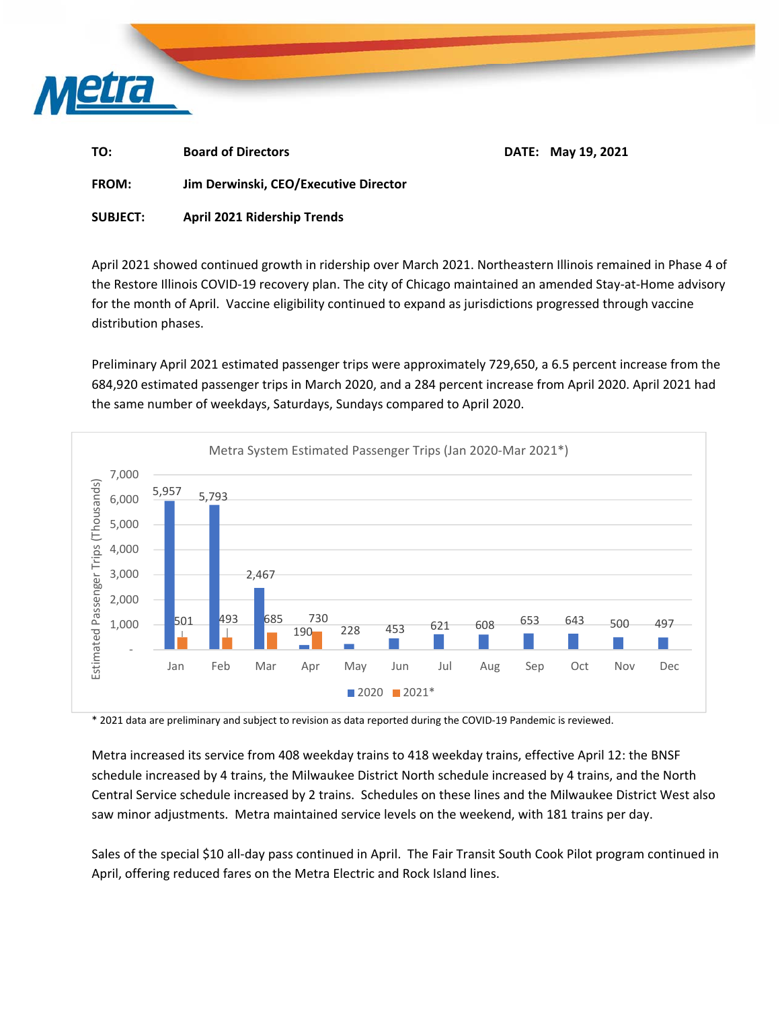

| TO:          | <b>Board of Directors</b>             | <b>DATE: May 19, 2021</b> |
|--------------|---------------------------------------|---------------------------|
| <b>FROM:</b> | Jim Derwinski, CEO/Executive Director |                           |

**SUBJECT: April 2021 Ridership Trends** 

April 2021 showed continued growth in ridership over March 2021. Northeastern Illinois remained in Phase 4 of the Restore Illinois COVID‐19 recovery plan. The city of Chicago maintained an amended Stay‐at‐Home advisory for the month of April. Vaccine eligibility continued to expand as jurisdictions progressed through vaccine distribution phases.

Preliminary April 2021 estimated passenger trips were approximately 729,650, a 6.5 percent increase from the 684,920 estimated passenger trips in March 2020, and a 284 percent increase from April 2020. April 2021 had the same number of weekdays, Saturdays, Sundays compared to April 2020.



\* 2021 data are preliminary and subject to revision as data reported during the COVID‐19 Pandemic is reviewed.

Metra increased its service from 408 weekday trains to 418 weekday trains, effective April 12: the BNSF schedule increased by 4 trains, the Milwaukee District North schedule increased by 4 trains, and the North Central Service schedule increased by 2 trains. Schedules on these lines and the Milwaukee District West also saw minor adjustments. Metra maintained service levels on the weekend, with 181 trains per day.

Sales of the special \$10 all-day pass continued in April. The Fair Transit South Cook Pilot program continued in April, offering reduced fares on the Metra Electric and Rock Island lines.